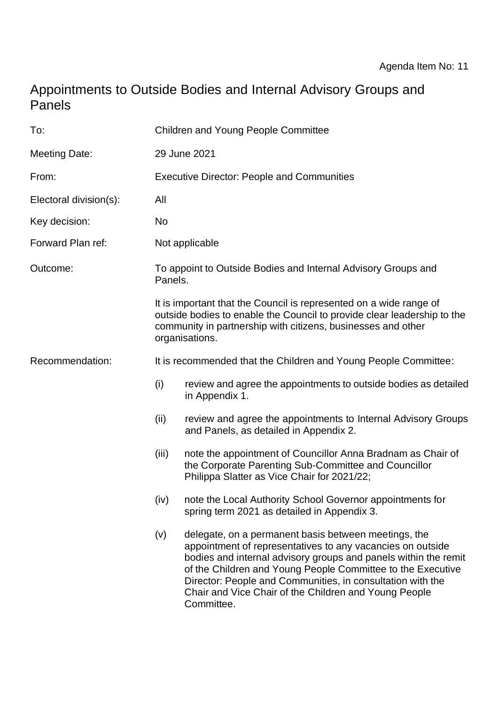# Appointments to Outside Bodies and Internal Advisory Groups and Panels

| To:                    | <b>Children and Young People Committee</b>                                                                                                                                                                                      |                                                                                                                                                                                                                                                                                                                                                                                           |
|------------------------|---------------------------------------------------------------------------------------------------------------------------------------------------------------------------------------------------------------------------------|-------------------------------------------------------------------------------------------------------------------------------------------------------------------------------------------------------------------------------------------------------------------------------------------------------------------------------------------------------------------------------------------|
| <b>Meeting Date:</b>   | 29 June 2021                                                                                                                                                                                                                    |                                                                                                                                                                                                                                                                                                                                                                                           |
| From:                  | <b>Executive Director: People and Communities</b>                                                                                                                                                                               |                                                                                                                                                                                                                                                                                                                                                                                           |
| Electoral division(s): | All                                                                                                                                                                                                                             |                                                                                                                                                                                                                                                                                                                                                                                           |
| Key decision:          | No                                                                                                                                                                                                                              |                                                                                                                                                                                                                                                                                                                                                                                           |
| Forward Plan ref:      | Not applicable                                                                                                                                                                                                                  |                                                                                                                                                                                                                                                                                                                                                                                           |
| Outcome:               | To appoint to Outside Bodies and Internal Advisory Groups and<br>Panels.                                                                                                                                                        |                                                                                                                                                                                                                                                                                                                                                                                           |
|                        | It is important that the Council is represented on a wide range of<br>outside bodies to enable the Council to provide clear leadership to the<br>community in partnership with citizens, businesses and other<br>organisations. |                                                                                                                                                                                                                                                                                                                                                                                           |
| Recommendation:        | It is recommended that the Children and Young People Committee:                                                                                                                                                                 |                                                                                                                                                                                                                                                                                                                                                                                           |
|                        | (i)                                                                                                                                                                                                                             | review and agree the appointments to outside bodies as detailed<br>in Appendix 1.                                                                                                                                                                                                                                                                                                         |
|                        | (ii)                                                                                                                                                                                                                            | review and agree the appointments to Internal Advisory Groups<br>and Panels, as detailed in Appendix 2.                                                                                                                                                                                                                                                                                   |
|                        | (iii)                                                                                                                                                                                                                           | note the appointment of Councillor Anna Bradnam as Chair of<br>the Corporate Parenting Sub-Committee and Councillor<br>Philippa Slatter as Vice Chair for 2021/22;                                                                                                                                                                                                                        |
|                        | (iv)                                                                                                                                                                                                                            | note the Local Authority School Governor appointments for<br>spring term 2021 as detailed in Appendix 3.                                                                                                                                                                                                                                                                                  |
|                        | (v)                                                                                                                                                                                                                             | delegate, on a permanent basis between meetings, the<br>appointment of representatives to any vacancies on outside<br>bodies and internal advisory groups and panels within the remit<br>of the Children and Young People Committee to the Executive<br>Director: People and Communities, in consultation with the<br>Chair and Vice Chair of the Children and Young People<br>Committee. |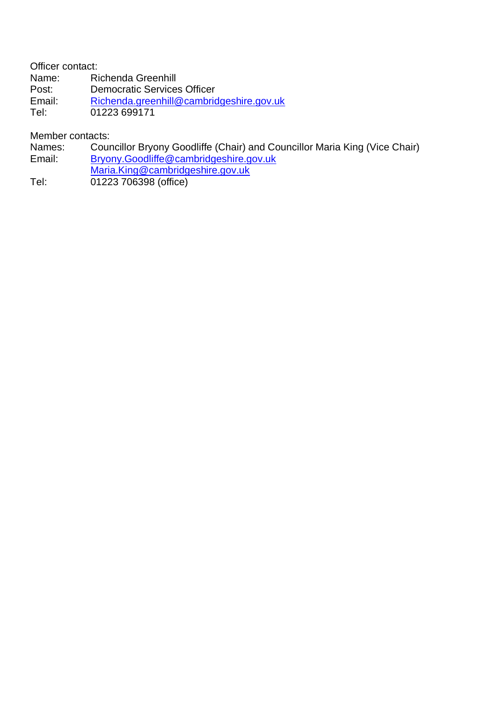Officer contact:

Name: Richenda Greenhill<br>Post: Democratic Service

Post: Democratic Services Officer<br>
Email: Richenda.greenhill@cambric

[Richenda.greenhill@cambridgeshire.gov.uk](mailto:Richenda.greenhill@cambridgeshire.gov.uk)

Tel: 01223 699171

Member contacts:

Names: Councillor Bryony Goodliffe (Chair) and Councillor Maria King (Vice Chair)

Email: [Bryony.Goodliffe@cambridgeshire.gov.uk](mailto:Bryony.Goodliffe@cambridgeshire.gov.uk)

[Maria.King@cambridgeshire.gov.uk](mailto:Maria.King@cambridgeshire.gov.uk)

Tel: 01223 706398 (office)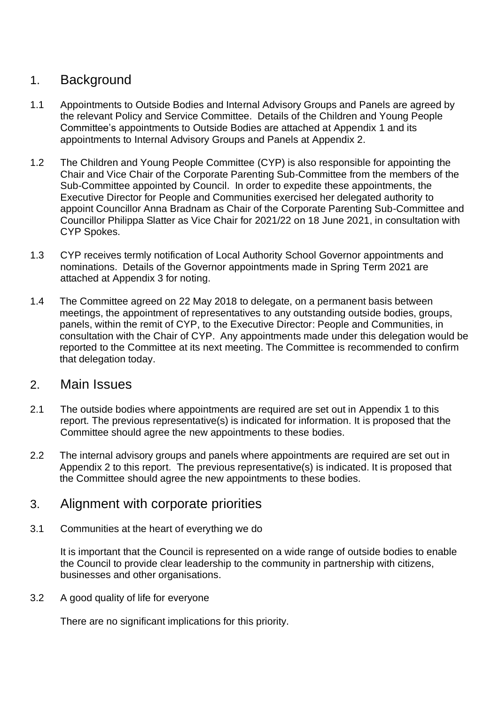# 1. Background

- 1.1 Appointments to Outside Bodies and Internal Advisory Groups and Panels are agreed by the relevant Policy and Service Committee. Details of the Children and Young People Committee's appointments to Outside Bodies are attached at Appendix 1 and its appointments to Internal Advisory Groups and Panels at Appendix 2.
- 1.2 The Children and Young People Committee (CYP) is also responsible for appointing the Chair and Vice Chair of the Corporate Parenting Sub-Committee from the members of the Sub-Committee appointed by Council. In order to expedite these appointments, the Executive Director for People and Communities exercised her delegated authority to appoint Councillor Anna Bradnam as Chair of the Corporate Parenting Sub-Committee and Councillor Philippa Slatter as Vice Chair for 2021/22 on 18 June 2021, in consultation with CYP Spokes.
- 1.3 CYP receives termly notification of Local Authority School Governor appointments and nominations. Details of the Governor appointments made in Spring Term 2021 are attached at Appendix 3 for noting.
- 1.4 The Committee agreed on 22 May 2018 to delegate, on a permanent basis between meetings, the appointment of representatives to any outstanding outside bodies, groups, panels, within the remit of CYP, to the Executive Director: People and Communities, in consultation with the Chair of CYP. Any appointments made under this delegation would be reported to the Committee at its next meeting. The Committee is recommended to confirm that delegation today.

### 2. Main Issues

- 2.1 The outside bodies where appointments are required are set out in Appendix 1 to this report. The previous representative(s) is indicated for information. It is proposed that the Committee should agree the new appointments to these bodies.
- 2.2 The internal advisory groups and panels where appointments are required are set out in Appendix 2 to this report. The previous representative(s) is indicated. It is proposed that the Committee should agree the new appointments to these bodies.

## 3. Alignment with corporate priorities

3.1 Communities at the heart of everything we do

It is important that the Council is represented on a wide range of outside bodies to enable the Council to provide clear leadership to the community in partnership with citizens, businesses and other organisations.

3.2 A good quality of life for everyone

There are no significant implications for this priority.